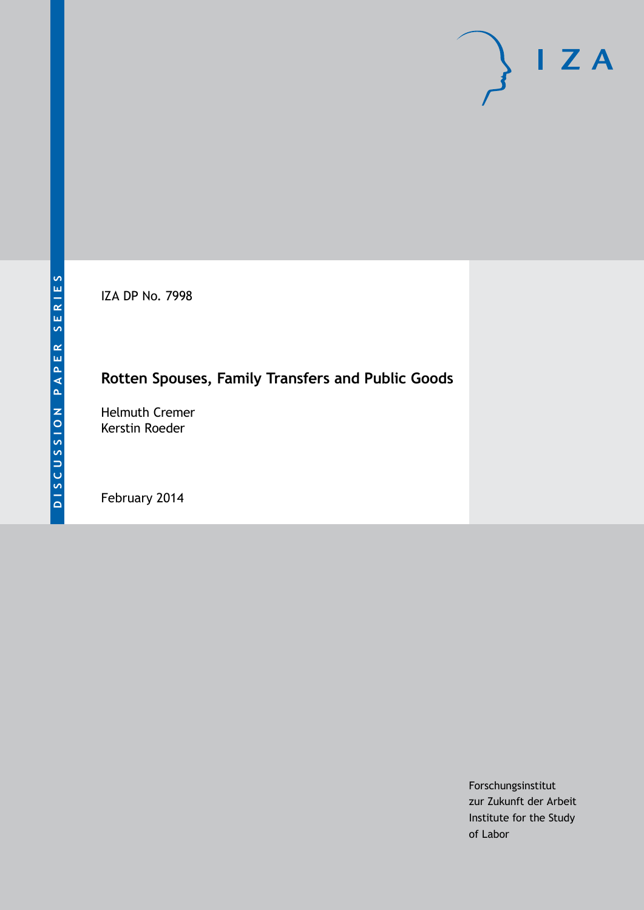IZA DP No. 7998

## **Rotten Spouses, Family Transfers and Public Goods**

Helmuth Cremer Kerstin Roeder

February 2014

Forschungsinstitut zur Zukunft der Arbeit Institute for the Study of Labor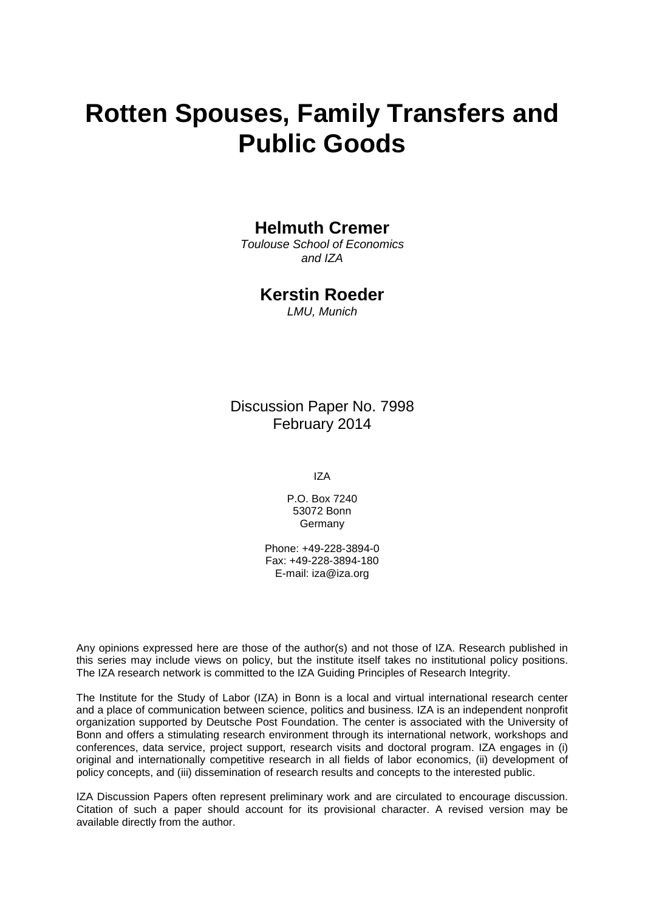# **Rotten Spouses, Family Transfers and Public Goods**

## **Helmuth Cremer**

*Toulouse School of Economics and IZA*

## **Kerstin Roeder**

*LMU, Munich*

Discussion Paper No. 7998 February 2014

IZA

P.O. Box 7240 53072 Bonn Germany

Phone: +49-228-3894-0 Fax: +49-228-3894-180 E-mail: [iza@iza.org](mailto:iza@iza.org)

Any opinions expressed here are those of the author(s) and not those of IZA. Research published in this series may include views on policy, but the institute itself takes no institutional policy positions. The IZA research network is committed to the IZA Guiding Principles of Research Integrity.

The Institute for the Study of Labor (IZA) in Bonn is a local and virtual international research center and a place of communication between science, politics and business. IZA is an independent nonprofit organization supported by Deutsche Post Foundation. The center is associated with the University of Bonn and offers a stimulating research environment through its international network, workshops and conferences, data service, project support, research visits and doctoral program. IZA engages in (i) original and internationally competitive research in all fields of labor economics, (ii) development of policy concepts, and (iii) dissemination of research results and concepts to the interested public.

<span id="page-1-0"></span>IZA Discussion Papers often represent preliminary work and are circulated to encourage discussion. Citation of such a paper should account for its provisional character. A revised version may be available directly from the author.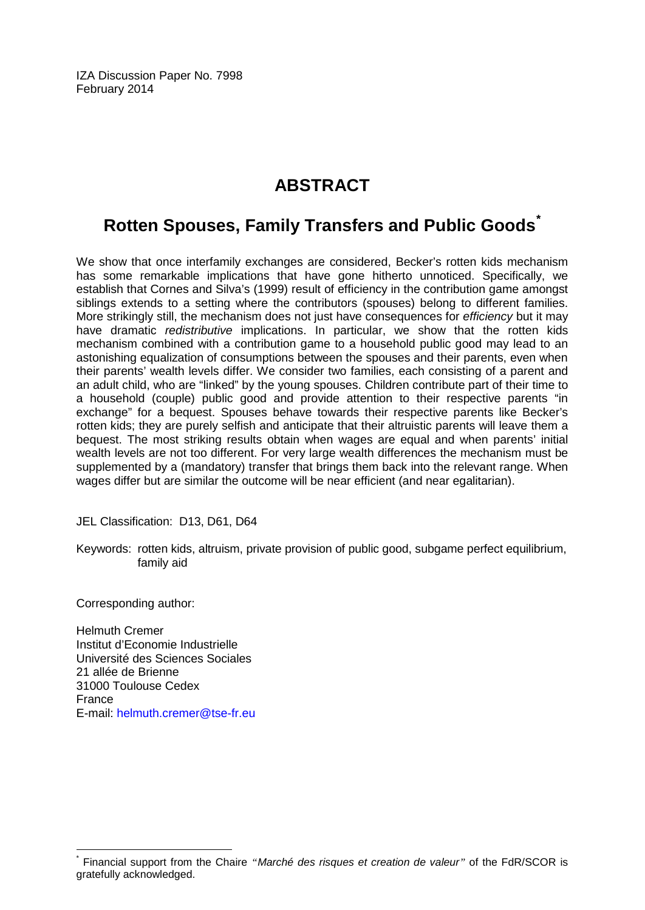IZA Discussion Paper No. 7998 February 2014

## **ABSTRACT**

## **Rotten Spouses, Family Transfers and Public Goods[\\*](#page-1-0)**

We show that once interfamily exchanges are considered, Becker's rotten kids mechanism has some remarkable implications that have gone hitherto unnoticed. Specifically, we establish that Cornes and Silva's (1999) result of efficiency in the contribution game amongst siblings extends to a setting where the contributors (spouses) belong to different families. More strikingly still, the mechanism does not just have consequences for *efficiency* but it may have dramatic *redistributive* implications. In particular, we show that the rotten kids mechanism combined with a contribution game to a household public good may lead to an astonishing equalization of consumptions between the spouses and their parents, even when their parents' wealth levels differ. We consider two families, each consisting of a parent and an adult child, who are "linked" by the young spouses. Children contribute part of their time to a household (couple) public good and provide attention to their respective parents "in exchange" for a bequest. Spouses behave towards their respective parents like Becker's rotten kids; they are purely selfish and anticipate that their altruistic parents will leave them a bequest. The most striking results obtain when wages are equal and when parents' initial wealth levels are not too different. For very large wealth differences the mechanism must be supplemented by a (mandatory) transfer that brings them back into the relevant range. When wages differ but are similar the outcome will be near efficient (and near egalitarian).

JEL Classification: D13, D61, D64

Keywords: rotten kids, altruism, private provision of public good, subgame perfect equilibrium, family aid

Corresponding author:

Helmuth Cremer Institut d'Economie Industrielle Université des Sciences Sociales 21 allée de Brienne 31000 Toulouse Cedex France E-mail: [helmuth.cremer@tse-fr.eu](mailto:helmuth.cremer@tse-fr.eu)

\* Financial support from the Chaire *"Marché des risques et creation de valeur"* of the FdR/SCOR is gratefully acknowledged.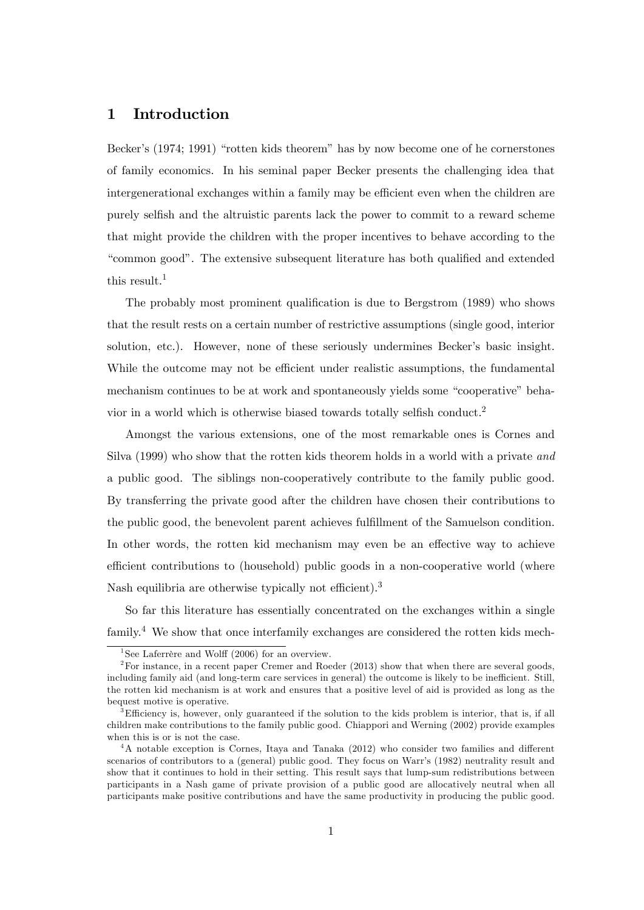## 1 Introduction

Becker's (1974; 1991) "rotten kids theorem" has by now become one of he cornerstones of family economics. In his seminal paper Becker presents the challenging idea that intergenerational exchanges within a family may be efficient even when the children are purely selfish and the altruistic parents lack the power to commit to a reward scheme that might provide the children with the proper incentives to behave according to the "common good". The extensive subsequent literature has both qualified and extended this result.<sup>1</sup>

The probably most prominent qualification is due to Bergstrom (1989) who shows that the result rests on a certain number of restrictive assumptions (single good, interior solution, etc.). However, none of these seriously undermines Becker's basic insight. While the outcome may not be efficient under realistic assumptions, the fundamental mechanism continues to be at work and spontaneously yields some "cooperative" behavior in a world which is otherwise biased towards totally selfish conduct.<sup>2</sup>

Amongst the various extensions, one of the most remarkable ones is Cornes and Silva (1999) who show that the rotten kids theorem holds in a world with a private and a public good. The siblings non-cooperatively contribute to the family public good. By transferring the private good after the children have chosen their contributions to the public good, the benevolent parent achieves fulfillment of the Samuelson condition. In other words, the rotten kid mechanism may even be an effective way to achieve efficient contributions to (household) public goods in a non-cooperative world (where Nash equilibria are otherwise typically not efficient).<sup>3</sup>

So far this literature has essentially concentrated on the exchanges within a single family.<sup>4</sup> We show that once interfamily exchanges are considered the rotten kids mech-

<sup>&</sup>lt;sup>1</sup> See Laferrère and Wolff  $(2006)$  for an overview.

 $2$ For instance, in a recent paper Cremer and Roeder (2013) show that when there are several goods, including family aid (and long-term care services in general) the outcome is likely to be inefficient. Still, the rotten kid mechanism is at work and ensures that a positive level of aid is provided as long as the bequest motive is operative.

 ${}^{3}$ Efficiency is, however, only guaranteed if the solution to the kids problem is interior, that is, if all children make contributions to the family public good. Chiappori and Werning (2002) provide examples when this is or is not the case.

 $4A$  notable exception is Cornes, Itaya and Tanaka (2012) who consider two families and different scenarios of contributors to a (general) public good. They focus on Warr's (1982) neutrality result and show that it continues to hold in their setting. This result says that lump-sum redistributions between participants in a Nash game of private provision of a public good are allocatively neutral when all participants make positive contributions and have the same productivity in producing the public good.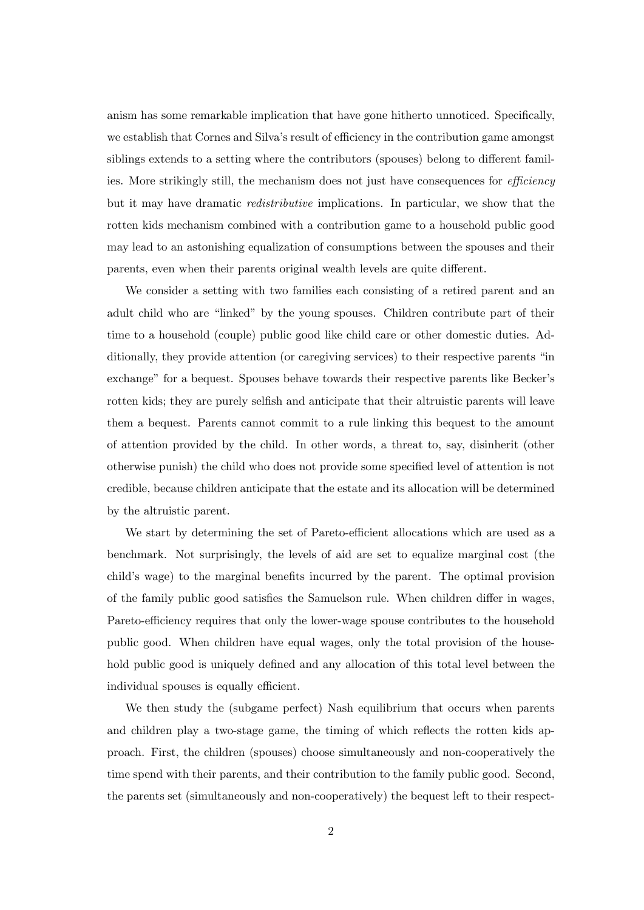anism has some remarkable implication that have gone hitherto unnoticed. Specifically, we establish that Cornes and Silva's result of efficiency in the contribution game amongst siblings extends to a setting where the contributors (spouses) belong to different families. More strikingly still, the mechanism does not just have consequences for *efficiency* but it may have dramatic redistributive implications. In particular, we show that the rotten kids mechanism combined with a contribution game to a household public good may lead to an astonishing equalization of consumptions between the spouses and their parents, even when their parents original wealth levels are quite different.

We consider a setting with two families each consisting of a retired parent and an adult child who are "linked" by the young spouses. Children contribute part of their time to a household (couple) public good like child care or other domestic duties. Additionally, they provide attention (or caregiving services) to their respective parents "in exchange" for a bequest. Spouses behave towards their respective parents like Becker's rotten kids; they are purely selfish and anticipate that their altruistic parents will leave them a bequest. Parents cannot commit to a rule linking this bequest to the amount of attention provided by the child. In other words, a threat to, say, disinherit (other otherwise punish) the child who does not provide some specified level of attention is not credible, because children anticipate that the estate and its allocation will be determined by the altruistic parent.

We start by determining the set of Pareto-efficient allocations which are used as a benchmark. Not surprisingly, the levels of aid are set to equalize marginal cost (the child's wage) to the marginal benefits incurred by the parent. The optimal provision of the family public good satisfies the Samuelson rule. When children differ in wages, Pareto-efficiency requires that only the lower-wage spouse contributes to the household public good. When children have equal wages, only the total provision of the household public good is uniquely defined and any allocation of this total level between the individual spouses is equally efficient.

We then study the (subgame perfect) Nash equilibrium that occurs when parents and children play a two-stage game, the timing of which reflects the rotten kids approach. First, the children (spouses) choose simultaneously and non-cooperatively the time spend with their parents, and their contribution to the family public good. Second, the parents set (simultaneously and non-cooperatively) the bequest left to their respect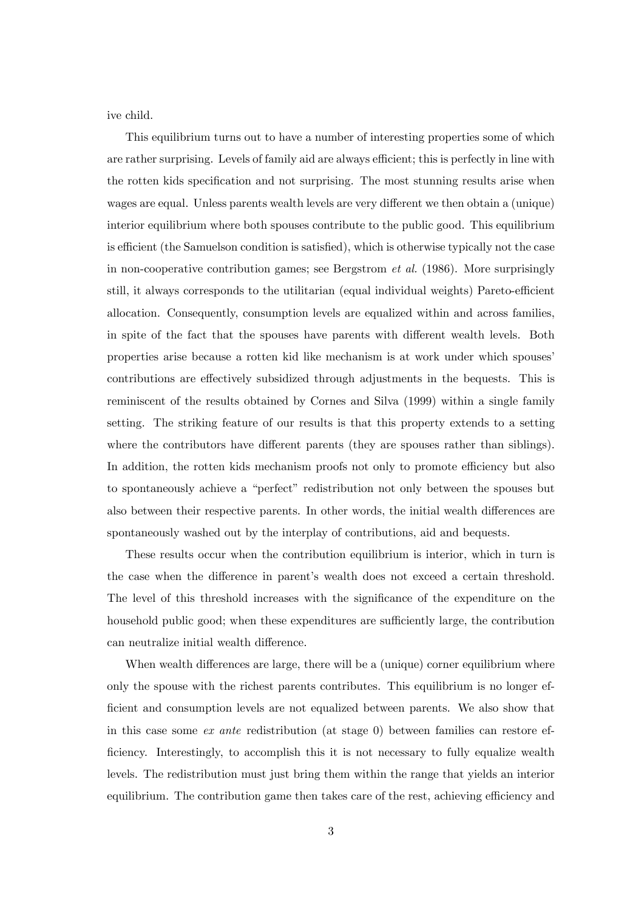ive child.

This equilibrium turns out to have a number of interesting properties some of which are rather surprising. Levels of family aid are always efficient; this is perfectly in line with the rotten kids specification and not surprising. The most stunning results arise when wages are equal. Unless parents wealth levels are very different we then obtain a (unique) interior equilibrium where both spouses contribute to the public good. This equilibrium is efficient (the Samuelson condition is satisfied), which is otherwise typically not the case in non-cooperative contribution games; see Bergstrom *et al.* (1986). More surprisingly still, it always corresponds to the utilitarian (equal individual weights) Pareto-efficient allocation. Consequently, consumption levels are equalized within and across families, in spite of the fact that the spouses have parents with different wealth levels. Both properties arise because a rotten kid like mechanism is at work under which spouses contributions are effectively subsidized through adjustments in the bequests. This is reminiscent of the results obtained by Cornes and Silva (1999) within a single family setting. The striking feature of our results is that this property extends to a setting where the contributors have different parents (they are spouses rather than siblings). In addition, the rotten kids mechanism proofs not only to promote efficiency but also to spontaneously achieve a "perfect" redistribution not only between the spouses but also between their respective parents. In other words, the initial wealth differences are spontaneously washed out by the interplay of contributions, aid and bequests.

These results occur when the contribution equilibrium is interior, which in turn is the case when the difference in parent's wealth does not exceed a certain threshold. The level of this threshold increases with the significance of the expenditure on the household public good; when these expenditures are sufficiently large, the contribution can neutralize initial wealth difference.

When wealth differences are large, there will be a (unique) corner equilibrium where only the spouse with the richest parents contributes. This equilibrium is no longer efficient and consumption levels are not equalized between parents. We also show that in this case some *ex ante* redistribution (at stage 0) between families can restore efficiency. Interestingly, to accomplish this it is not necessary to fully equalize wealth levels. The redistribution must just bring them within the range that yields an interior equilibrium. The contribution game then takes care of the rest, achieving efficiency and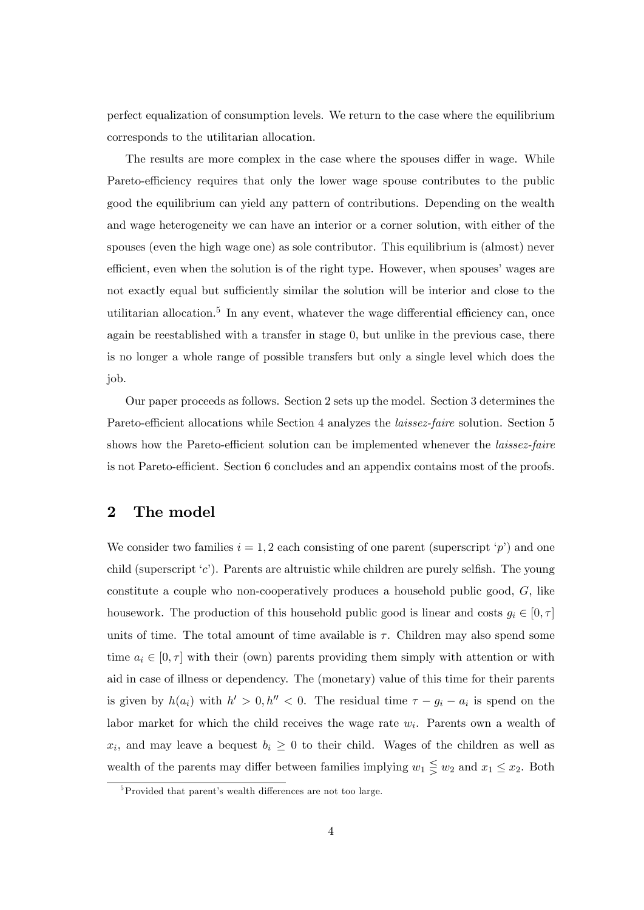perfect equalization of consumption levels. We return to the case where the equilibrium corresponds to the utilitarian allocation.

The results are more complex in the case where the spouses differ in wage. While Pareto-efficiency requires that only the lower wage spouse contributes to the public good the equilibrium can yield any pattern of contributions. Depending on the wealth and wage heterogeneity we can have an interior or a corner solution, with either of the spouses (even the high wage one) as sole contributor. This equilibrium is (almost) never efficient, even when the solution is of the right type. However, when spouses' wages are not exactly equal but sufficiently similar the solution will be interior and close to the utilitarian allocation.<sup>5</sup> In any event, whatever the wage differential efficiency can, once again be reestablished with a transfer in stage 0, but unlike in the previous case, there is no longer a whole range of possible transfers but only a single level which does the job.

Our paper proceeds as follows. Section 2 sets up the model. Section 3 determines the Pareto-efficient allocations while Section 4 analyzes the *laissez-faire* solution. Section 5 shows how the Pareto-efficient solution can be implemented whenever the *laissez-faire* is not Pareto-efficient. Section 6 concludes and an appendix contains most of the proofs.

### 2 The model

We consider two families  $i = 1, 2$  each consisting of one parent (superscript  $\hat{p}$ ) and one child (superscript  $(c')$ ). Parents are altruistic while children are purely selfish. The young constitute a couple who non-cooperatively produces a household public good,  $G$ , like housework. The production of this household public good is linear and costs  $g_i \in [0, \tau]$ units of time. The total amount of time available is  $\tau$ . Children may also spend some time  $a_i \in [0, \tau]$  with their (own) parents providing them simply with attention or with aid in case of illness or dependency. The (monetary) value of this time for their parents is given by  $h(a_i)$  with  $h' > 0, h'' < 0$ . The residual time  $\tau - g_i - a_i$  is spend on the labor market for which the child receives the wage rate  $w_i$ . Parents own a wealth of  $x_i$ , and may leave a bequest  $b_i \geq 0$  to their child. Wages of the children as well as wealth of the parents may differ between families implying  $w_1 \leq w_2$  and  $x_1 \leq x_2$ . Both

 $5P$ rovided that parent's wealth differences are not too large.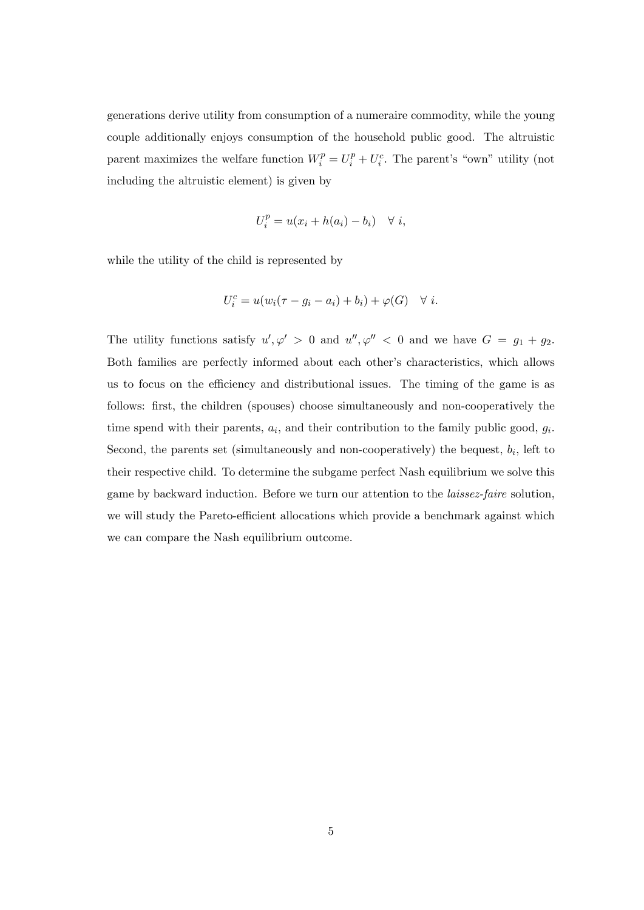generations derive utility from consumption of a numeraire commodity, while the young couple additionally enjoys consumption of the household public good. The altruistic parent maximizes the welfare function  $W_i^p = U_i^p + U_i^c$ . The parent's "own" utility (not including the altruistic element) is given by

$$
U_i^p = u(x_i + h(a_i) - b_i) \quad \forall \ i,
$$

while the utility of the child is represented by

$$
U_i^c = u(w_i(\tau - g_i - a_i) + b_i) + \varphi(G) \quad \forall i.
$$

The utility functions satisfy  $u', \varphi' > 0$  and  $u'', \varphi'' < 0$  and we have  $G = g_1 + g_2$ . Both families are perfectly informed about each other's characteristics, which allows us to focus on the efficiency and distributional issues. The timing of the game is as follows: first, the children (spouses) choose simultaneously and non-cooperatively the time spend with their parents,  $a_i$ , and their contribution to the family public good,  $g_i$ . Second, the parents set (simultaneously and non-cooperatively) the bequest,  $b_i$ , left to their respective child. To determine the subgame perfect Nash equilibrium we solve this game by backward induction. Before we turn our attention to the laissez-faire solution, we will study the Pareto-efficient allocations which provide a benchmark against which we can compare the Nash equilibrium outcome.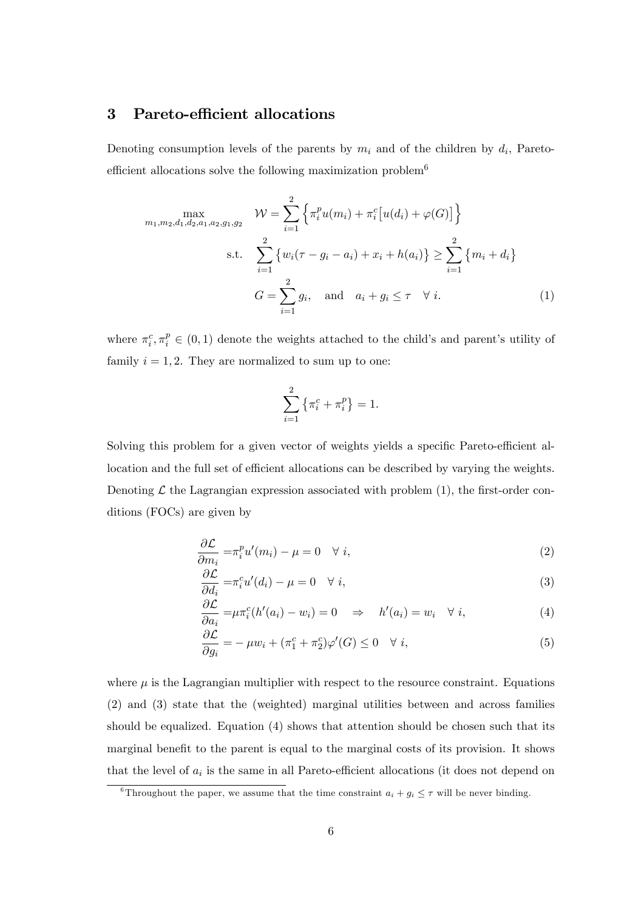## 3 Pareto-efficient allocations

Denoting consumption levels of the parents by  $m_i$  and of the children by  $d_i$ , Paretoefficient allocations solve the following maximization problem<sup>6</sup>

$$
\max_{m_1, m_2, d_1, d_2, a_1, a_2, g_1, g_2} \qquad W = \sum_{i=1}^2 \left\{ \pi_i^p u(m_i) + \pi_i^c [u(d_i) + \varphi(G)] \right\}
$$
\n
$$
\text{s.t.} \quad \sum_{i=1}^2 \left\{ w_i(\tau - g_i - a_i) + x_i + h(a_i) \right\} \ge \sum_{i=1}^2 \left\{ m_i + d_i \right\}
$$
\n
$$
G = \sum_{i=1}^2 g_i, \quad \text{and} \quad a_i + g_i \le \tau \quad \forall i. \tag{1}
$$

where  $\pi_i^c, \pi_i^p \in (0, 1)$  denote the weights attached to the child's and parent's utility of family  $i = 1, 2$ . They are normalized to sum up to one:

$$
\sum_{i=1}^{2} \left\{ \pi_i^c + \pi_i^p \right\} = 1.
$$

Solving this problem for a given vector of weights yields a specific Pareto-efficient allocation and the full set of efficient allocations can be described by varying the weights. Denoting  $\mathcal L$  the Lagrangian expression associated with problem (1), the first-order conditions (FOCs) are given by

$$
\frac{\partial \mathcal{L}}{\partial m_i} = \pi_i^p u'(m_i) - \mu = 0 \quad \forall \ i,
$$
\n<sup>(2)</sup>

$$
\frac{\partial \mathcal{L}}{\partial d_i} = \pi_i^c u'(d_i) - \mu = 0 \quad \forall \ i,
$$
\n(3)

$$
\frac{\partial \mathcal{L}}{\partial a_i} = \mu \pi_i^c (h'(a_i) - w_i) = 0 \quad \Rightarrow \quad h'(a_i) = w_i \quad \forall \ i,
$$
\n<sup>(4)</sup>

$$
\frac{\partial \mathcal{L}}{\partial g_i} = -\mu w_i + (\pi_1^c + \pi_2^c)\varphi'(G) \le 0 \quad \forall \ i,
$$
\n<sup>(5)</sup>

where  $\mu$  is the Lagrangian multiplier with respect to the resource constraint. Equations (2) and (3) state that the (weighted) marginal utilities between and across families should be equalized. Equation (4) shows that attention should be chosen such that its marginal benefit to the parent is equal to the marginal costs of its provision. It shows that the level of  $a_i$  is the same in all Pareto-efficient allocations (it does not depend on

<sup>&</sup>lt;sup>6</sup>Throughout the paper, we assume that the time constraint  $a_i + g_i \leq \tau$  will be never binding.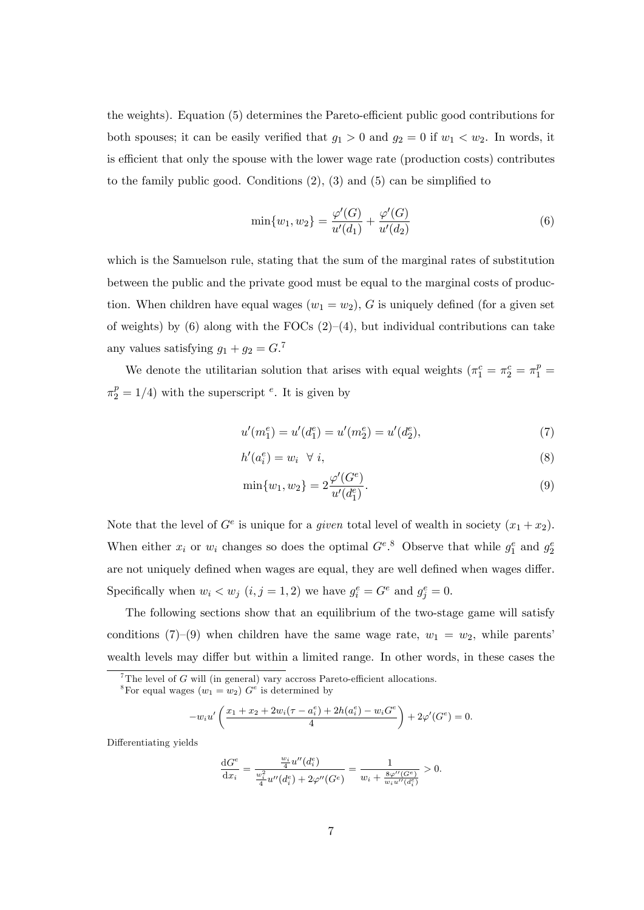the weights). Equation  $(5)$  determines the Pareto-efficient public good contributions for both spouses; it can be easily verified that  $g_1 > 0$  and  $g_2 = 0$  if  $w_1 < w_2$ . In words, it is efficient that only the spouse with the lower wage rate (production costs) contributes to the family public good. Conditions  $(2)$ ,  $(3)$  and  $(5)$  can be simplified to

$$
\min\{w_1, w_2\} = \frac{\varphi'(G)}{u'(d_1)} + \frac{\varphi'(G)}{u'(d_2)}\tag{6}
$$

which is the Samuelson rule, stating that the sum of the marginal rates of substitution between the public and the private good must be equal to the marginal costs of production. When children have equal wages  $(w_1 = w_2)$ , G is uniquely defined (for a given set of weights) by  $(6)$  along with the FOCs  $(2)-(4)$ , but individual contributions can take any values satisfying  $g_1 + g_2 = G$ .<sup>7</sup>

We denote the utilitarian solution that arises with equal weights  $(\pi_1^c = \pi_2^c = \pi_1^p =$  $\pi_2^p = 1/4$ ) with the superscript <sup>e</sup>. It is given by

$$
u'(m_1^e) = u'(d_1^e) = u'(m_2^e) = u'(d_2^e),\tag{7}
$$

$$
h'(a_i^e) = w_i \quad \forall \ i,\tag{8}
$$

$$
\min\{w_1, w_2\} = 2\frac{\varphi'(G^e)}{u'(d_1^e)}.\tag{9}
$$

Note that the level of  $G^e$  is unique for a *given* total level of wealth in society  $(x_1 + x_2)$ . When either  $x_i$  or  $w_i$  changes so does the optimal  $G^{e.8}$  Observe that while  $g_1^e$  and  $g_2^e$ are not uniquely defined when wages are equal, they are well defined when wages differ. Specifically when  $w_i < w_j$   $(i, j = 1, 2)$  we have  $g_i^e = G^e$  and  $g_j^e = 0$ .

The following sections show that an equilibrium of the two-stage game will satisfy conditions (7)–(9) when children have the same wage rate,  $w_1 = w_2$ , while parents wealth levels may differ but within a limited range. In other words, in these cases the

$$
-w_i u' \left(\frac{x_1 + x_2 + 2w_i(\tau - a_i^e) + 2h(a_i^e) - w_i G^e}{4}\right) + 2\varphi'(G^e) = 0.
$$

Differentiating yields

$$
\frac{\mathrm{d}G^e}{\mathrm{d}x_i} = \frac{\frac{w_i}{4}u''(d_i^e)}{\frac{w_i^2}{4}u''(d_i^e) + 2\varphi''(G^e)} = \frac{1}{w_i + \frac{8\varphi''(G^e)}{w_i u''(d_i^e)}} > 0.
$$

<sup>&</sup>lt;sup>7</sup>The level of G will (in general) vary accross Pareto-efficient allocations.

<sup>&</sup>lt;sup>8</sup>For equal wages  $(w_1 = w_2)$   $G^e$  is determined by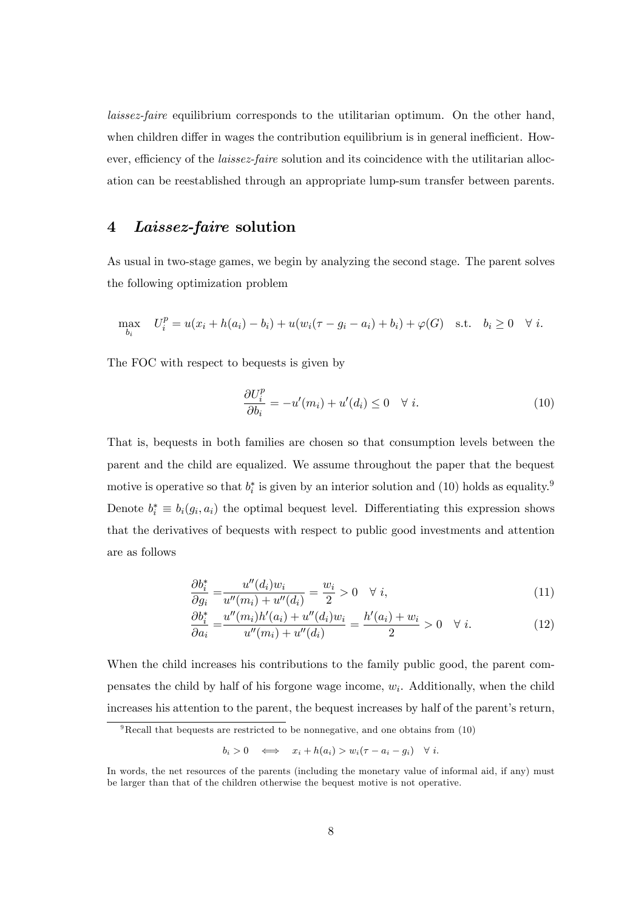laissez-faire equilibrium corresponds to the utilitarian optimum. On the other hand, when children differ in wages the contribution equilibrium is in general inefficient. However, efficiency of the *laissez-faire* solution and its coincidence with the utilitarian allocation can be reestablished through an appropriate lump-sum transfer between parents.

### 4 Laissez-faire solution

As usual in two-stage games, we begin by analyzing the second stage. The parent solves the following optimization problem

$$
\max_{b_i} \quad U_i^p = u(x_i + h(a_i) - b_i) + u(w_i(\tau - g_i - a_i) + b_i) + \varphi(G) \quad \text{s.t.} \quad b_i \ge 0 \quad \forall \ i.
$$

The FOC with respect to bequests is given by

$$
\frac{\partial U_i^p}{\partial b_i} = -u'(m_i) + u'(d_i) \le 0 \quad \forall i.
$$
\n(10)

That is, bequests in both families are chosen so that consumption levels between the parent and the child are equalized. We assume throughout the paper that the bequest motive is operative so that  $b_i^*$  is given by an interior solution and (10) holds as equality.<sup>9</sup> Denote  $b_i^* \equiv b_i(g_i, a_i)$  the optimal bequest level. Differentiating this expression shows that the derivatives of bequests with respect to public good investments and attention are as follows

$$
\frac{\partial b_i^*}{\partial g_i} = \frac{u''(d_i)w_i}{u''(m_i) + u''(d_i)} = \frac{w_i}{2} > 0 \quad \forall i,
$$
\n(11)

$$
\frac{\partial b_i^*}{\partial a_i} = \frac{u''(m_i)h'(a_i) + u''(d_i)w_i}{u''(m_i) + u''(d_i)} = \frac{h'(a_i) + w_i}{2} > 0 \quad \forall i.
$$
\n(12)

When the child increases his contributions to the family public good, the parent compensates the child by half of his forgone wage income,  $w_i$ . Additionally, when the child increases his attention to the parent, the bequest increases by half of the parent's return,

 $b_i > 0 \iff x_i + h(a_i) > w_i(\tau - a_i - g_i) \quad \forall i.$ 

 $9$ Recall that bequests are restricted to be nonnegative, and one obtains from  $(10)$ 

In words, the net resources of the parents (including the monetary value of informal aid, if any) must be larger than that of the children otherwise the bequest motive is not operative.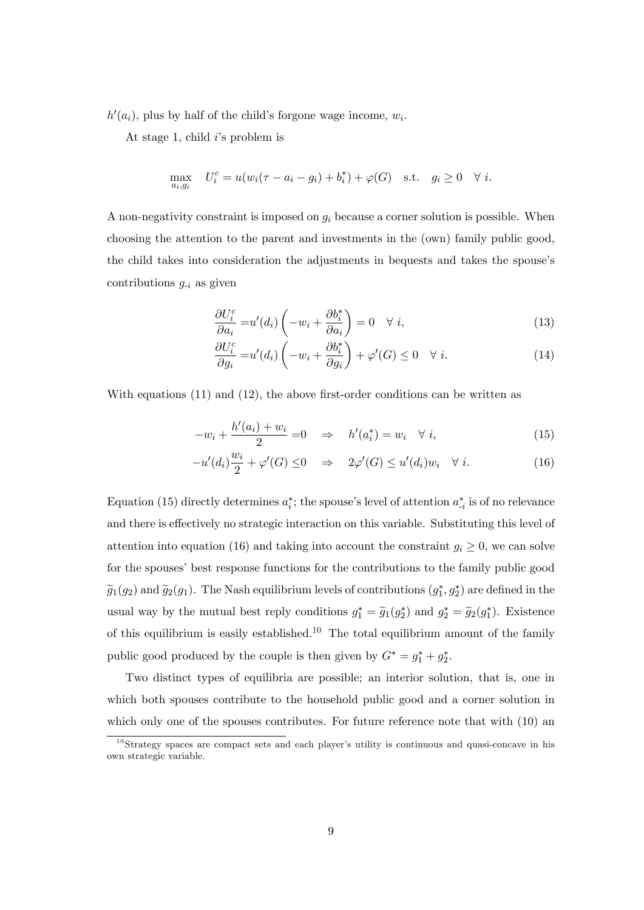$h'(a_i)$ , plus by half of the child's forgone wage income,  $w_i$ .

At stage 1, child  $i$ 's problem is

$$
\max_{a_i, g_i} \quad U_i^c = u(w_i(\tau - a_i - g_i) + b_i^*) + \varphi(G) \quad \text{s.t.} \quad g_i \ge 0 \quad \forall \ i.
$$

A non-negativity constraint is imposed on  $g_i$  because a corner solution is possible. When choosing the attention to the parent and investments in the (own) family public good, the child takes into consideration the adjustments in bequests and takes the spouse's contributions  $q_{-i}$  as given

$$
\frac{\partial U_i^c}{\partial a_i} = u'(d_i) \left( -w_i + \frac{\partial b_i^*}{\partial a_i} \right) = 0 \quad \forall \ i,
$$
\n(13)

$$
\frac{\partial U_i^c}{\partial g_i} = u'(d_i) \left( -w_i + \frac{\partial b_i^*}{\partial g_i} \right) + \varphi'(G) \le 0 \quad \forall i. \tag{14}
$$

With equations  $(11)$  and  $(12)$ , the above first-order conditions can be written as

$$
-w_i + \frac{h'(a_i) + w_i}{2} = 0 \quad \Rightarrow \quad h'(a_i^*) = w_i \quad \forall \ i,
$$
\n
$$
(15)
$$

$$
-u'(d_i)\frac{w_i}{2} + \varphi'(G) \le 0 \quad \Rightarrow \quad 2\varphi'(G) \le u'(d_i)w_i \quad \forall i. \tag{16}
$$

Equation (15) directly determines  $a_i^*$ ; the spouse's level of attention  $a_{i}^*$  is of no relevance and there is effectively no strategic interaction on this variable. Substituting this level of attention into equation (16) and taking into account the constraint  $g_i \geq 0$ , we can solve for the spouses' best response functions for the contributions to the family public good  $\widetilde{g}_1(g_2)$  and  $\widetilde{g}_2(g_1)$ . The Nash equilibrium levels of contributions  $(g_1^*, g_2^*)$  are defined in the usual way by the mutual best reply conditions  $g_1^* = \tilde{g}_1(g_2^*)$  and  $g_2^* = \tilde{g}_2(g_1^*)$ . Existence of this equilibrium is easily established.<sup>10</sup> The total equilibrium amount of the family public good produced by the couple is then given by  $G^* = g_1^* + g_2^*$ .

Two distinct types of equilibria are possible; an interior solution, that is, one in which both spouses contribute to the household public good and a corner solution in which only one of the spouses contributes. For future reference note that with  $(10)$  an

 $10$ Strategy spaces are compact sets and each player's utility is continuous and quasi-concave in his own strategic variable.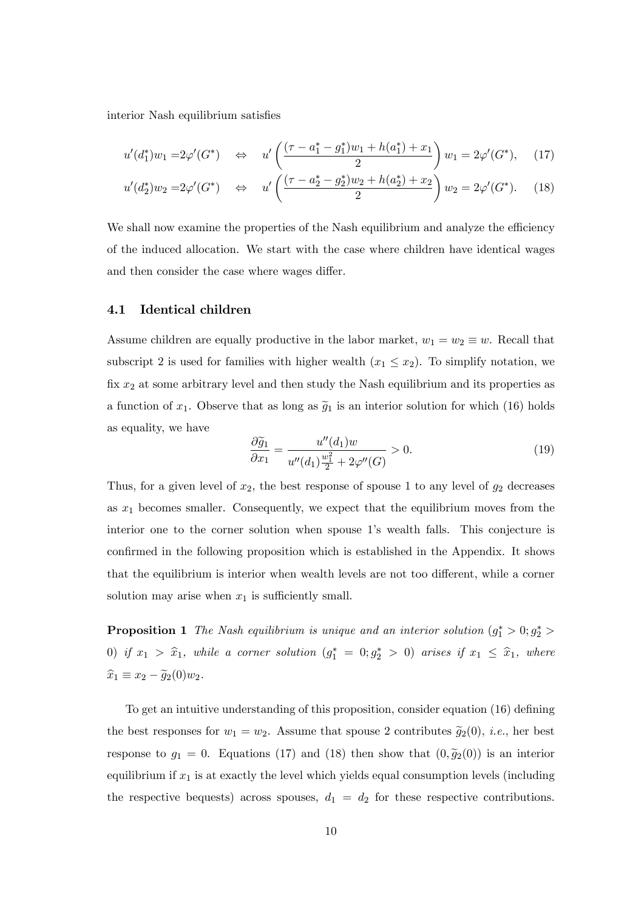interior Nash equilibrium satisfies

$$
u'(d_1^*)w_1 = 2\varphi'(G^*) \quad \Leftrightarrow \quad u'\left(\frac{(\tau - a_1^* - g_1^*)w_1 + h(a_1^*) + x_1}{2}\right)w_1 = 2\varphi'(G^*),\tag{17}
$$

$$
u'(d_2^*)w_2 = 2\varphi'(G^*) \quad \Leftrightarrow \quad u'\left(\frac{(\tau - a_2^* - g_2^*)w_2 + h(a_2^*) + x_2}{2}\right)w_2 = 2\varphi'(G^*). \tag{18}
$$

We shall now examine the properties of the Nash equilibrium and analyze the efficiency of the induced allocation. We start with the case where children have identical wages and then consider the case where wages differ.

#### 4.1 Identical children

Assume children are equally productive in the labor market,  $w_1 = w_2 \equiv w$ . Recall that subscript 2 is used for families with higher wealth  $(x_1 \le x_2)$ . To simplify notation, we fix  $x_2$  at some arbitrary level and then study the Nash equilibrium and its properties as a function of  $x_1$ . Observe that as long as  $\tilde{g}_1$  is an interior solution for which (16) holds as equality, we have

$$
\frac{\partial \widetilde{g}_1}{\partial x_1} = \frac{u''(d_1)w}{u''(d_1)\frac{w_1^2}{2} + 2\varphi''(G)} > 0.
$$
\n(19)

Thus, for a given level of  $x_2$ , the best response of spouse 1 to any level of  $g_2$  decreases as  $x_1$  becomes smaller. Consequently, we expect that the equilibrium moves from the interior one to the corner solution when spouse 1's wealth falls. This conjecture is confirmed in the following proposition which is established in the Appendix. It shows that the equilibrium is interior when wealth levels are not too different, while a corner solution may arise when  $x_1$  is sufficiently small.

**Proposition 1** The Nash equilibrium is unique and an interior solution  $(g_1^* > 0; g_2^* >$ 0) if  $x_1 > \hat{x}_1$ , while a corner solution  $(g_1^* = 0; g_2^* > 0)$  arises if  $x_1 \leq \hat{x}_1$ , where  $\widehat{x}_1 \equiv x_2 - \widetilde{g}_2(0)w_2.$ 

To get an intuitive understanding of this proposition, consider equation  $(16)$  defining the best responses for  $w_1 = w_2$ . Assume that spouse 2 contributes  $\tilde{g}_2(0)$ , *i.e.*, her best response to  $g_1 = 0$ . Equations (17) and (18) then show that  $(0, \tilde{g}_2(0))$  is an interior equilibrium if  $x_1$  is at exactly the level which yields equal consumption levels (including the respective bequests) across spouses,  $d_1 = d_2$  for these respective contributions.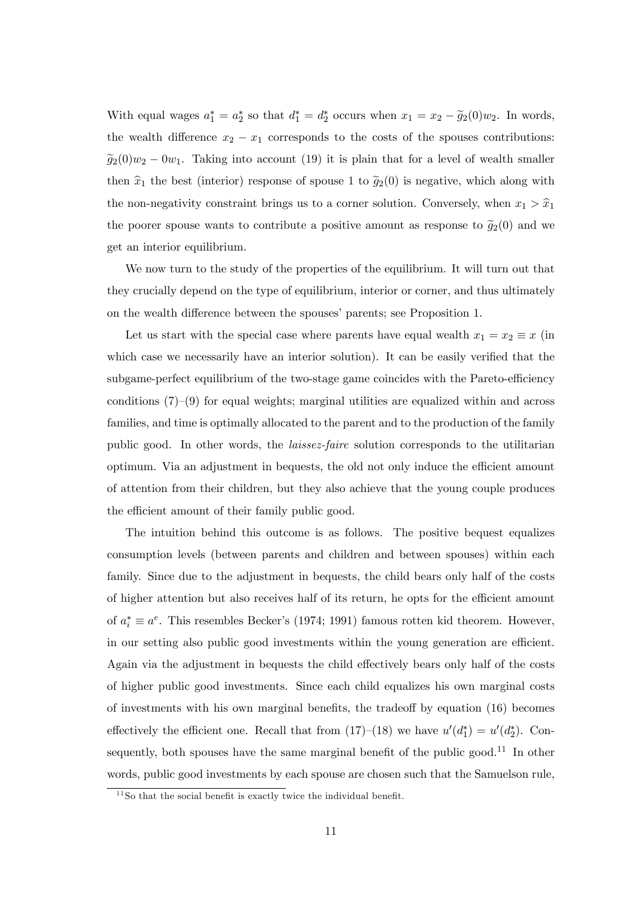With equal wages  $a_1^* = a_2^*$  so that  $d_1^* = d_2^*$  occurs when  $x_1 = x_2 - \tilde{g}_2(0)w_2$ . In words, the wealth difference  $x_2 - x_1$  corresponds to the costs of the spouses contributions:  $\tilde{g}_2(0)w_2 - 0w_1$ . Taking into account (19) it is plain that for a level of wealth smaller then  $\hat{x}_1$  the best (interior) response of spouse 1 to  $\tilde{g}_2(0)$  is negative, which along with the non-negativity constraint brings us to a corner solution. Conversely, when  $x_1 > \hat{x}_1$ the poorer spouse wants to contribute a positive amount as response to  $\tilde{g}_2(0)$  and we get an interior equilibrium.

We now turn to the study of the properties of the equilibrium. It will turn out that they crucially depend on the type of equilibrium, interior or corner, and thus ultimately on the wealth difference between the spouses' parents; see Proposition 1.

Let us start with the special case where parents have equal wealth  $x_1 = x_2 \equiv x$  (in which case we necessarily have an interior solution). It can be easily verified that the subgame-perfect equilibrium of the two-stage game coincides with the Pareto-efficiency conditions  $(7)-(9)$  for equal weights; marginal utilities are equalized within and across families, and time is optimally allocated to the parent and to the production of the family public good. In other words, the laissez-faire solution corresponds to the utilitarian optimum. Via an adjustment in bequests, the old not only induce the efficient amount of attention from their children, but they also achieve that the young couple produces the efficient amount of their family public good.

The intuition behind this outcome is as follows. The positive bequest equalizes consumption levels (between parents and children and between spouses) within each family. Since due to the adjustment in bequests, the child bears only half of the costs of higher attention but also receives half of its return, he opts for the efficient amount of  $a_i^* \equiv a^e$ . This resembles Becker's (1974; 1991) famous rotten kid theorem. However, in our setting also public good investments within the young generation are efficient. Again via the adjustment in bequests the child effectively bears only half of the costs of higher public good investments. Since each child equalizes his own marginal costs of investments with his own marginal benefits, the tradeoff by equation  $(16)$  becomes effectively the efficient one. Recall that from  $(17)-(18)$  we have  $u'(d_1^*) = u'(d_2^*)$ . Consequently, both spouses have the same marginal benefit of the public good.<sup>11</sup> In other words, public good investments by each spouse are chosen such that the Samuelson rule,

 $11$ So that the social benefit is exactly twice the individual benefit.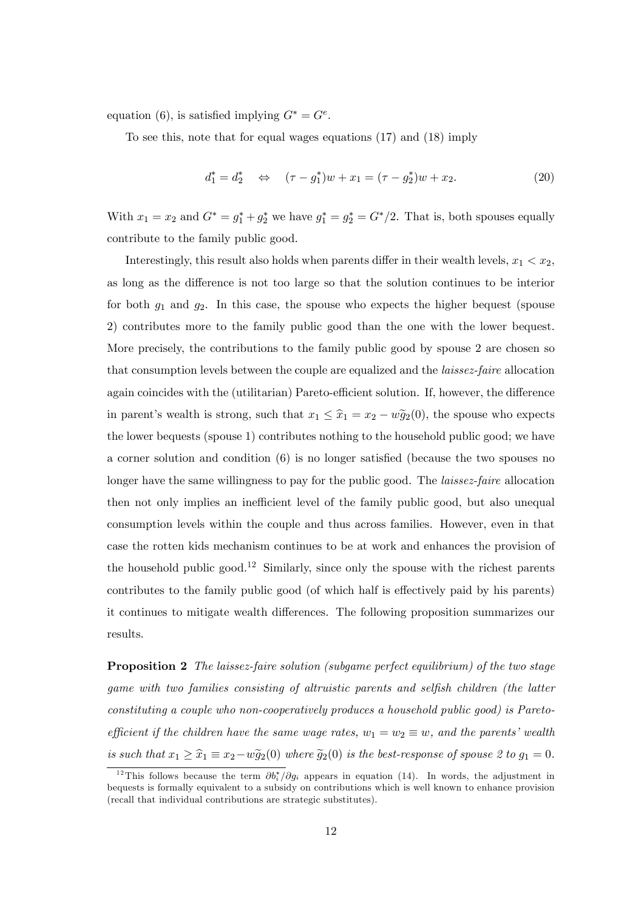equation (6), is satisfied implying  $G^* = G^e$ .

To see this, note that for equal wages equations (17) and (18) imply

$$
d_1^* = d_2^* \quad \Leftrightarrow \quad (\tau - g_1^*)w + x_1 = (\tau - g_2^*)w + x_2. \tag{20}
$$

With  $x_1 = x_2$  and  $G^* = g_1^* + g_2^*$  we have  $g_1^* = g_2^* = G^*/2$ . That is, both spouses equally contribute to the family public good.

Interestingly, this result also holds when parents differ in their wealth levels,  $x_1 < x_2$ , as long as the difference is not too large so that the solution continues to be interior for both  $g_1$  and  $g_2$ . In this case, the spouse who expects the higher bequest (spouse 2) contributes more to the family public good than the one with the lower bequest. More precisely, the contributions to the family public good by spouse 2 are chosen so that consumption levels between the couple are equalized and the laissez-faire allocation again coincides with the (utilitarian) Pareto-efficient solution. If, however, the difference in parent's wealth is strong, such that  $x_1 \leq \hat{x}_1 = x_2 - w\tilde{g}_2(0)$ , the spouse who expects the lower bequests (spouse 1) contributes nothing to the household public good; we have a corner solution and condition  $(6)$  is no longer satisfied (because the two spouses no longer have the same willingness to pay for the public good. The *laissez-faire* allocation then not only implies an inefficient level of the family public good, but also unequal consumption levels within the couple and thus across families. However, even in that case the rotten kids mechanism continues to be at work and enhances the provision of the household public good.<sup>12</sup> Similarly, since only the spouse with the richest parents contributes to the family public good (of which half is effectively paid by his parents) it continues to mitigate wealth differences. The following proposition summarizes our results.

**Proposition 2** The laissez-faire solution (subgame perfect equilibrium) of the two stage game with two families consisting of altruistic parents and selfish children (the latter constituting a couple who non-cooperatively produces a household public good) is Paretoefficient if the children have the same wage rates,  $w_1 = w_2 \equiv w$ , and the parents' wealth is such that  $x_1 \geq \hat{x}_1 \equiv x_2 - w\tilde{g}_2(0)$  where  $\tilde{g}_2(0)$  is the best-response of spouse 2 to  $g_1 = 0$ .

<sup>&</sup>lt;sup>12</sup>This follows because the term  $\partial b_i^* / \partial g_i$  appears in equation (14). In words, the adjustment in bequests is formally equivalent to a subsidy on contributions which is well known to enhance provision (recall that individual contributions are strategic substitutes).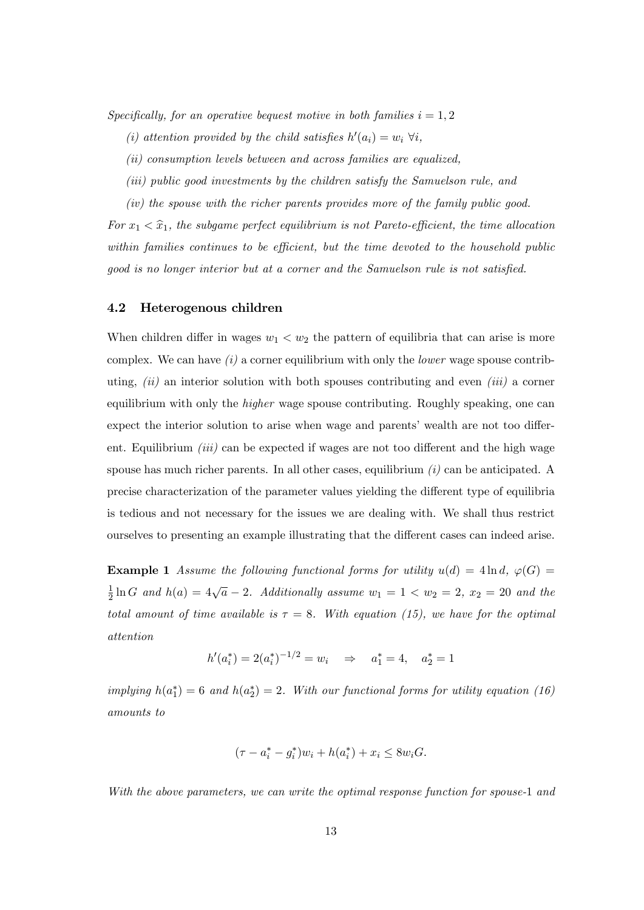Specifically, for an operative bequest motive in both families  $i = 1, 2$ 

- (i) attention provided by the child satisfies  $h'(a_i) = w_i \ \forall i$ ,
- (ii) consumption levels between and across families are equalized,
- (iii) public good investments by the children satisfy the Samuelson rule, and
- (iv) the spouse with the richer parents provides more of the family public good.

For  $x_1 < \hat{x}_1$ , the subgame perfect equilibrium is not Pareto-efficient, the time allocation within families continues to be efficient, but the time devoted to the household public good is no longer interior but at a corner and the Samuelson rule is not satisfied.

#### 4.2 Heterogenous children

When children differ in wages  $w_1 < w_2$  the pattern of equilibria that can arise is more complex. We can have  $(i)$  a corner equilibrium with only the *lower* wage spouse contributing,  $(ii)$  an interior solution with both spouses contributing and even *(iii)* a corner equilibrium with only the higher wage spouse contributing. Roughly speaking, one can expect the interior solution to arise when wage and parents' wealth are not too different. Equilibrium  $(iii)$  can be expected if wages are not too different and the high wage spouse has much richer parents. In all other cases, equilibrium  $(i)$  can be anticipated. A precise characterization of the parameter values yielding the different type of equilibria is tedious and not necessary for the issues we are dealing with. We shall thus restrict ourselves to presenting an example illustrating that the different cases can indeed arise.

**Example 1** Assume the following functional forms for utility  $u(d) = 4 \ln d$ ,  $\varphi(G) =$ 1  $\frac{1}{2}\ln G$  and  $h(a) = 4\sqrt{a} - 2$ . Additionally assume  $w_1 = 1 < w_2 = 2$ ,  $x_2 = 20$  and the total amount of time available is  $\tau = 8$ . With equation (15), we have for the optimal attention

$$
h'(a_i^*) = 2(a_i^*)^{-1/2} = w_i \Rightarrow a_1^* = 4, a_2^* = 1
$$

implying  $h(a_1^*) = 6$  and  $h(a_2^*) = 2$ . With our functional forms for utility equation (16) amounts to

$$
(\tau - a_i^* - g_i^*)w_i + h(a_i^*) + x_i \le 8w_i G.
$$

With the above parameters, we can write the optimal response function for spouse-1 and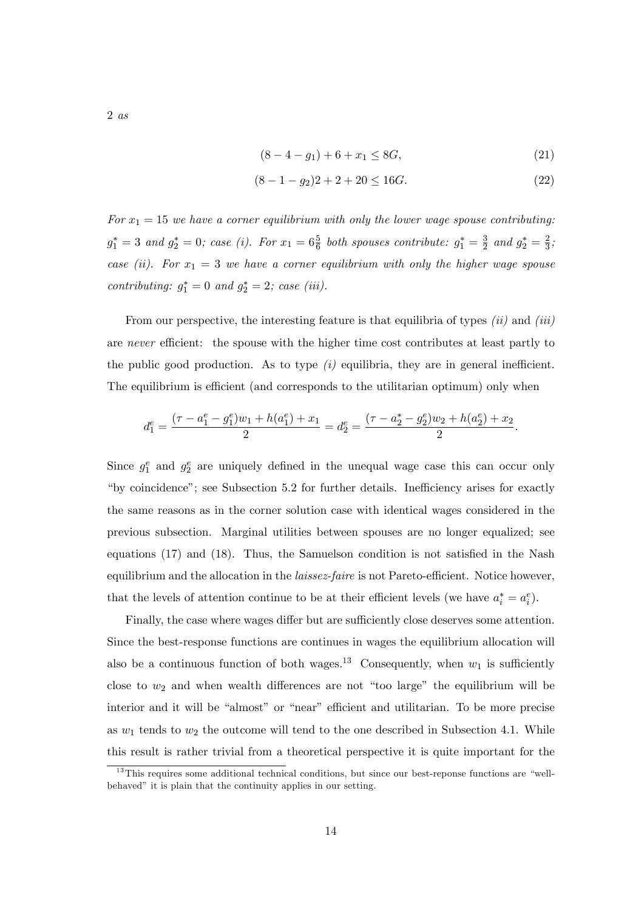$$
(8 - 4 - g_1) + 6 + x_1 \le 8G,\tag{21}
$$

$$
(8 - 1 - g_2)2 + 2 + 20 \le 16G. \tag{22}
$$

For  $x_1 = 15$  we have a corner equilibrium with only the lower wage spouse contributing:  $g_1^* = 3$  and  $g_2^* = 0$ ; case (i). For  $x_1 = 6\frac{5}{6}$  both spouses contribute:  $g_1^* = \frac{3}{2}$  $rac{3}{2}$  and  $g_2^* = \frac{2}{3}$  $\frac{2}{3}$ case (ii). For  $x_1 = 3$  we have a corner equilibrium with only the higher wage spouse contributing:  $g_1^* = 0$  and  $g_2^* = 2$ ; case (iii).

From our perspective, the interesting feature is that equilibria of types  $(ii)$  and  $(iii)$ are never efficient: the spouse with the higher time cost contributes at least partly to the public good production. As to type  $(i)$  equilibria, they are in general inefficient. The equilibrium is efficient (and corresponds to the utilitarian optimum) only when

$$
d_1^e = \frac{(\tau - a_1^e - g_1^e)w_1 + h(a_1^e) + x_1}{2} = d_2^e = \frac{(\tau - a_2^* - g_2^e)w_2 + h(a_2^e) + x_2}{2}.
$$

Since  $g_1^e$  and  $g_2^e$  are uniquely defined in the unequal wage case this can occur only ìby coincidenceî; see Subsection 5.2 for further details. Ine¢ ciency arises for exactly the same reasons as in the corner solution case with identical wages considered in the previous subsection. Marginal utilities between spouses are no longer equalized; see equations  $(17)$  and  $(18)$ . Thus, the Samuelson condition is not satisfied in the Nash equilibrium and the allocation in the *laissez-faire* is not Pareto-efficient. Notice however, that the levels of attention continue to be at their efficient levels (we have  $a_i^* = a_i^e$ ).

Finally, the case where wages differ but are sufficiently close deserves some attention. Since the best-response functions are continues in wages the equilibrium allocation will also be a continuous function of both wages.<sup>13</sup> Consequently, when  $w_1$  is sufficiently close to  $w_2$  and when wealth differences are not "too large" the equilibrium will be interior and it will be "almost" or "near" efficient and utilitarian. To be more precise as  $w_1$  tends to  $w_2$  the outcome will tend to the one described in Subsection 4.1. While this result is rather trivial from a theoretical perspective it is quite important for the

2 as

 $13$ This requires some additional technical conditions, but since our best-reponse functions are "wellbehaved" it is plain that the continuity applies in our setting.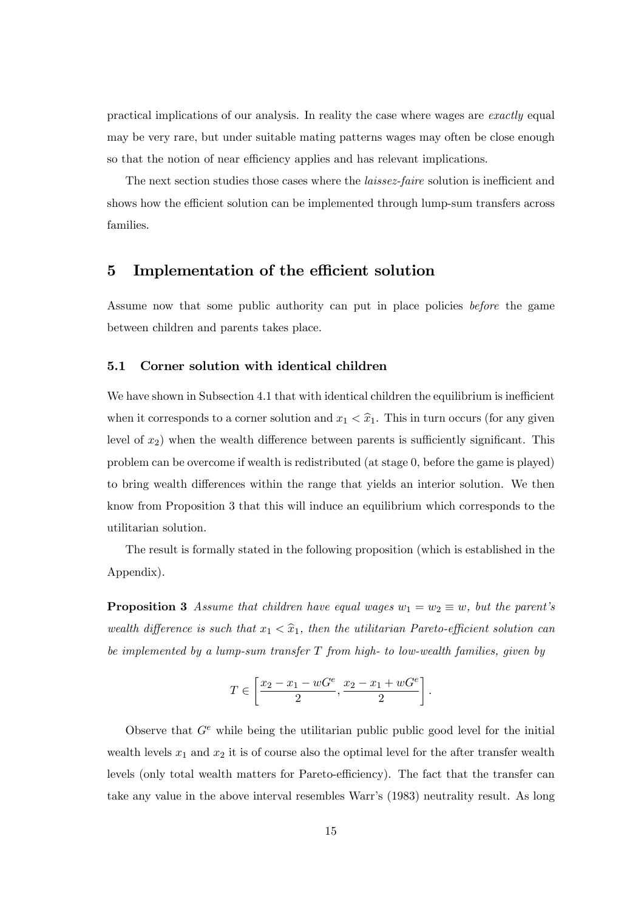practical implications of our analysis. In reality the case where wages are exactly equal may be very rare, but under suitable mating patterns wages may often be close enough so that the notion of near efficiency applies and has relevant implications.

The next section studies those cases where the *laissez-faire* solution is inefficient and shows how the efficient solution can be implemented through lump-sum transfers across families.

### 5 Implementation of the efficient solution

Assume now that some public authority can put in place policies before the game between children and parents takes place.

#### 5.1 Corner solution with identical children

We have shown in Subsection 4.1 that with identical children the equilibrium is inefficient when it corresponds to a corner solution and  $x_1 < \hat{x}_1$ . This in turn occurs (for any given level of  $x_2$ ) when the wealth difference between parents is sufficiently significant. This problem can be overcome if wealth is redistributed (at stage 0, before the game is played) to bring wealth differences within the range that yields an interior solution. We then know from Proposition 3 that this will induce an equilibrium which corresponds to the utilitarian solution.

The result is formally stated in the following proposition (which is established in the Appendix).

**Proposition 3** Assume that children have equal wages  $w_1 = w_2 \equiv w$ , but the parent's wealth difference is such that  $x_1 < \hat{x}_1$ , then the utilitarian Pareto-efficient solution can be implemented by a lump-sum transfer  $T$  from high- to low-wealth families, given by

$$
T \in \left[\frac{x_2 - x_1 - wG^e}{2}, \frac{x_2 - x_1 + wG^e}{2}\right].
$$

Observe that  $G^e$  while being the utilitarian public public good level for the initial wealth levels  $x_1$  and  $x_2$  it is of course also the optimal level for the after transfer wealth levels (only total wealth matters for Pareto-efficiency). The fact that the transfer can take any value in the above interval resembles Warr's (1983) neutrality result. As long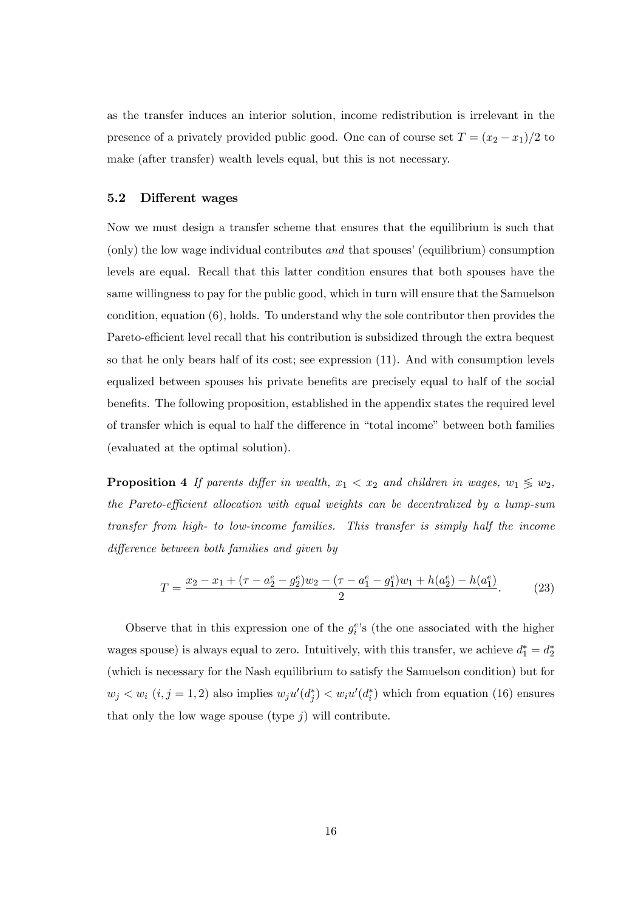as the transfer induces an interior solution, income redistribution is irrelevant in the presence of a privately provided public good. One can of course set  $T = (x_2 - x_1)/2$  to make (after transfer) wealth levels equal, but this is not necessary.

#### 5.2 Different wages

Now we must design a transfer scheme that ensures that the equilibrium is such that (only) the low wage individual contributes and that spouses' (equilibrium) consumption levels are equal. Recall that this latter condition ensures that both spouses have the same willingness to pay for the public good, which in turn will ensure that the Samuelson condition, equation (6), holds. To understand why the sole contributor then provides the Pareto-efficient level recall that his contribution is subsidized through the extra bequest so that he only bears half of its cost; see expression (11). And with consumption levels equalized between spouses his private benefits are precisely equal to half of the social benefits. The following proposition, established in the appendix states the required level of transfer which is equal to half the difference in "total income" between both families (evaluated at the optimal solution).

**Proposition 4** If parents differ in wealth,  $x_1 < x_2$  and children in wages,  $w_1 \leq w_2$ , the Pareto-efficient allocation with equal weights can be decentralized by a lump-sum transfer from high- to low-income families. This transfer is simply half the income difference between both families and given by

$$
T = \frac{x_2 - x_1 + (\tau - a_2^e - g_2^e)w_2 - (\tau - a_1^e - g_1^e)w_1 + h(a_2^e) - h(a_1^e)}{2}.
$$
 (23)

Observe that in this expression one of the  $g_i^e$ 's (the one associated with the higher wages spouse) is always equal to zero. Intuitively, with this transfer, we achieve  $d_1^* = d_2^*$ (which is necessary for the Nash equilibrium to satisfy the Samuelson condition) but for  $w_j < w_i$   $(i, j = 1, 2)$  also implies  $w_j u'(d_j^*) < w_i u'(d_i^*)$  which from equation (16) ensures that only the low wage spouse (type  $j$ ) will contribute.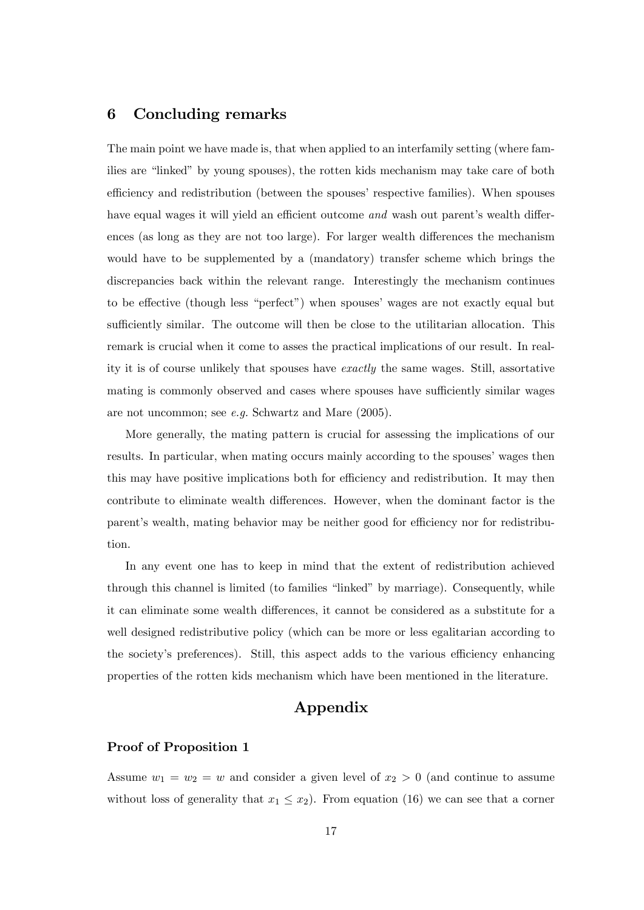## 6 Concluding remarks

The main point we have made is, that when applied to an interfamily setting (where families are "linked" by young spouses), the rotten kids mechanism may take care of both efficiency and redistribution (between the spouses' respective families). When spouses have equal wages it will yield an efficient outcome and wash out parent's wealth differences (as long as they are not too large). For larger wealth differences the mechanism would have to be supplemented by a (mandatory) transfer scheme which brings the discrepancies back within the relevant range. Interestingly the mechanism continues to be effective (though less "perfect") when spouses' wages are not exactly equal but sufficiently similar. The outcome will then be close to the utilitarian allocation. This remark is crucial when it come to asses the practical implications of our result. In reality it is of course unlikely that spouses have exactly the same wages. Still, assortative mating is commonly observed and cases where spouses have sufficiently similar wages are not uncommon; see e.g. Schwartz and Mare (2005).

More generally, the mating pattern is crucial for assessing the implications of our results. In particular, when mating occurs mainly according to the spouses' wages then this may have positive implications both for efficiency and redistribution. It may then contribute to eliminate wealth differences. However, when the dominant factor is the parent's wealth, mating behavior may be neither good for efficiency nor for redistribution.

In any event one has to keep in mind that the extent of redistribution achieved through this channel is limited (to families "linked" by marriage). Consequently, while it can eliminate some wealth differences, it cannot be considered as a substitute for a well designed redistributive policy (which can be more or less egalitarian according to the society's preferences). Still, this aspect adds to the various efficiency enhancing properties of the rotten kids mechanism which have been mentioned in the literature.

## Appendix

#### Proof of Proposition 1

Assume  $w_1 = w_2 = w$  and consider a given level of  $x_2 > 0$  (and continue to assume without loss of generality that  $x_1 \leq x_2$ ). From equation (16) we can see that a corner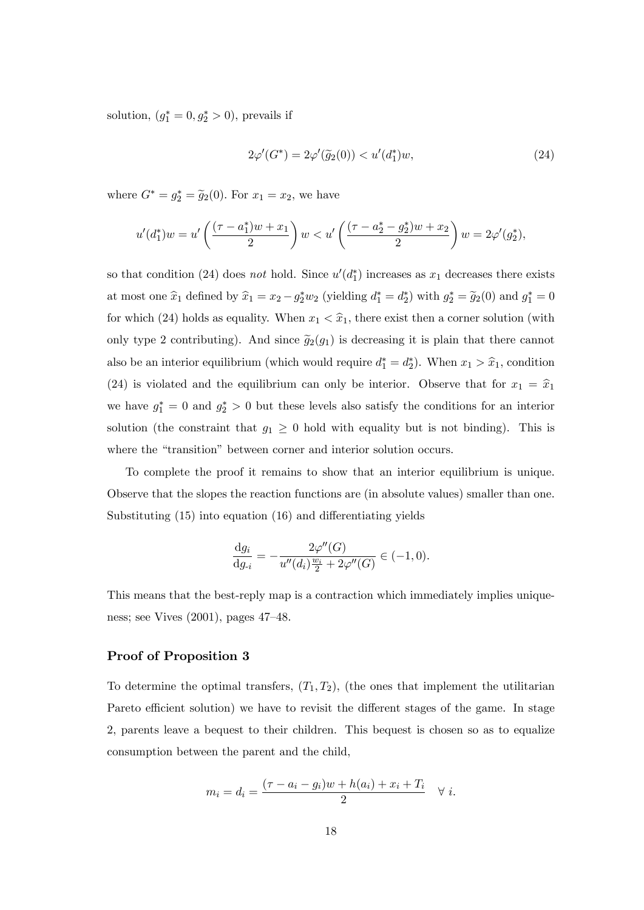solution,  $(g_1^* = 0, g_2^* > 0)$ , prevails if

$$
2\varphi'(G^*) = 2\varphi'(\tilde{g}_2(0)) < u'(d_1^*)w,\tag{24}
$$

where  $G^* = g_2^* = \tilde{g}_2(0)$ . For  $x_1 = x_2$ , we have

$$
u'(d_1^*)w = u'\left(\frac{(\tau - a_1^*)w + x_1}{2}\right)w < u'\left(\frac{(\tau - a_2^* - a_2^*)w + x_2}{2}\right)w = 2\varphi'(g_2^*),
$$

so that condition (24) does *not* hold. Since  $u'(d_1^*)$  increases as  $x_1$  decreases there exists at most one  $\hat{x}_1$  defined by  $\hat{x}_1 = x_2 - g_2^* w_2$  (yielding  $d_1^* = d_2^*$ ) with  $g_2^* = \tilde{g}_2(0)$  and  $g_1^* = 0$ for which (24) holds as equality. When  $x_1 < \hat{x}_1$ , there exist then a corner solution (with only type 2 contributing). And since  $\tilde{g}_2(g_1)$  is decreasing it is plain that there cannot also be an interior equilibrium (which would require  $d_1^* = d_2^*$ ). When  $x_1 > \hat{x}_1$ , condition (24) is violated and the equilibrium can only be interior. Observe that for  $x_1 = \hat{x}_1$ we have  $g_1^* = 0$  and  $g_2^* > 0$  but these levels also satisfy the conditions for an interior solution (the constraint that  $g_1 \geq 0$  hold with equality but is not binding). This is where the "transition" between corner and interior solution occurs.

To complete the proof it remains to show that an interior equilibrium is unique. Observe that the slopes the reaction functions are (in absolute values) smaller than one. Substituting  $(15)$  into equation  $(16)$  and differentiating yields

$$
\frac{dg_i}{dg_{-i}} = -\frac{2\varphi''(G)}{u''(d_i)\frac{w_i}{2} + 2\varphi''(G)} \in (-1,0).
$$

This means that the best-reply map is a contraction which immediately implies uniqueness; see Vives  $(2001)$ , pages  $47-48$ .

#### Proof of Proposition 3

To determine the optimal transfers,  $(T_1, T_2)$ , (the ones that implement the utilitarian Pareto efficient solution) we have to revisit the different stages of the game. In stage 2, parents leave a bequest to their children. This bequest is chosen so as to equalize consumption between the parent and the child,

$$
m_i = d_i = \frac{(\tau - a_i - g_i)w + h(a_i) + x_i + T_i}{2} \quad \forall \ i.
$$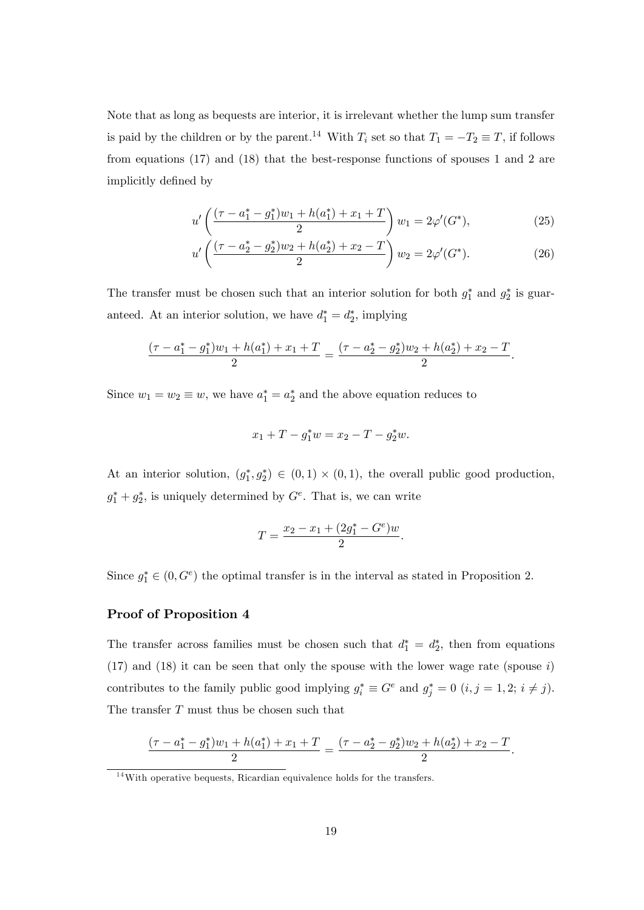Note that as long as bequests are interior, it is irrelevant whether the lump sum transfer is paid by the children or by the parent.<sup>14</sup> With  $T_i$  set so that  $T_1 = -T_2 \equiv T$ , if follows from equations (17) and (18) that the best-response functions of spouses 1 and 2 are implicitly defined by

$$
u'\left(\frac{(\tau - a_1^* - g_1^*)w_1 + h(a_1^*) + x_1 + T}{2}\right)w_1 = 2\varphi'(G^*),\tag{25}
$$

$$
u'\left(\frac{(\tau - a_2^* - g_2^*)w_2 + h(a_2^*) + x_2 - T}{2}\right)w_2 = 2\varphi'(G^*).
$$
 (26)

The transfer must be chosen such that an interior solution for both  $g_1^*$  and  $g_2^*$  is guaranteed. At an interior solution, we have  $d_1^* = d_2^*$ , implying

$$
\frac{(\tau - a_1^* - g_1^*)w_1 + h(a_1^*) + x_1 + T}{2} = \frac{(\tau - a_2^* - g_2^*)w_2 + h(a_2^*) + x_2 - T}{2}.
$$

Since  $w_1 = w_2 \equiv w$ , we have  $a_1^* = a_2^*$  and the above equation reduces to

$$
x_1 + T - g_1^* w = x_2 - T - g_2^* w.
$$

At an interior solution,  $(g_1^*, g_2^*) \in (0,1) \times (0,1)$ , the overall public good production,  $g_1^* + g_2^*$ , is uniquely determined by  $G^e$ . That is, we can write

$$
T = \frac{x_2 - x_1 + (2g_1^* - G^e)w}{2}.
$$

Since  $g_1^* \in (0, G^e)$  the optimal transfer is in the interval as stated in Proposition 2.

#### Proof of Proposition 4

The transfer across families must be chosen such that  $d_1^* = d_2^*$ , then from equations (17) and (18) it can be seen that only the spouse with the lower wage rate (spouse i) contributes to the family public good implying  $g_i^* \equiv G^e$  and  $g_j^* = 0$   $(i, j = 1, 2; i \neq j)$ . The transfer  $T$  must thus be chosen such that

$$
\frac{(\tau - a_1^* - g_1^*)w_1 + h(a_1^*) + x_1 + T}{2} = \frac{(\tau - a_2^* - g_2^*)w_2 + h(a_2^*) + x_2 - T}{2}.
$$

 $14$ With operative bequests, Ricardian equivalence holds for the transfers.